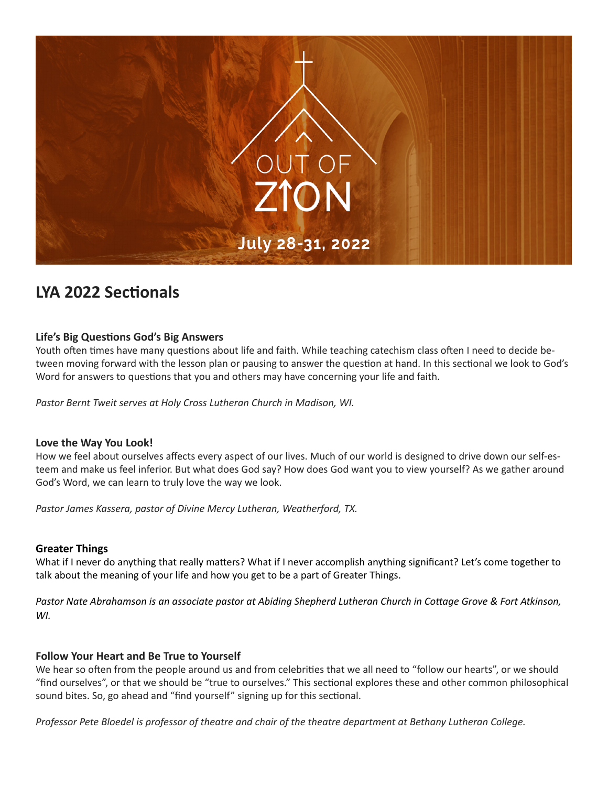

# **LYA 2022 Sectionals**

## **Life's Big Questions God's Big Answers**

Youth often times have many questions about life and faith. While teaching catechism class often I need to decide between moving forward with the lesson plan or pausing to answer the question at hand. In this sectional we look to God's Word for answers to questions that you and others may have concerning your life and faith.

*Pastor Bernt Tweit serves at Holy Cross Lutheran Church in Madison, WI.*

#### **Love the Way You Look!**

How we feel about ourselves affects every aspect of our lives. Much of our world is designed to drive down our self-esteem and make us feel inferior. But what does God say? How does God want you to view yourself? As we gather around God's Word, we can learn to truly love the way we look.

*Pastor James Kassera, pastor of Divine Mercy Lutheran, Weatherford, TX.*

## **Greater Things**

What if I never do anything that really matters? What if I never accomplish anything significant? Let's come together to talk about the meaning of your life and how you get to be a part of Greater Things.

*Pastor Nate Abrahamson is an associate pastor at Abiding Shepherd Lutheran Church in Cottage Grove & Fort Atkinson, WI.*

## **Follow Your Heart and Be True to Yourself**

We hear so often from the people around us and from celebrities that we all need to "follow our hearts", or we should "find ourselves", or that we should be "true to ourselves." This sectional explores these and other common philosophical sound bites. So, go ahead and "find yourself" signing up for this sectional.

*Professor Pete Bloedel is professor of theatre and chair of the theatre department at Bethany Lutheran College.*